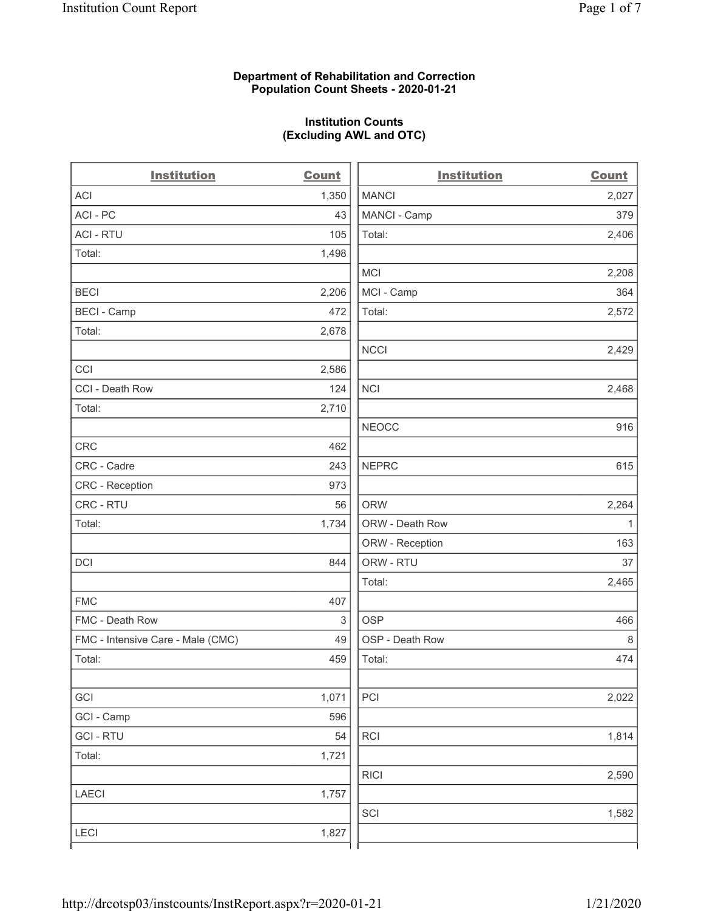## **Department of Rehabilitation and Correction Population Count Sheets - 2020-01-21**

# **Institution Counts (Excluding AWL and OTC)**

 $\overline{a}$ 

| <b>Institution</b>                | <b>Count</b>              | <b>Institution</b> | Count        |
|-----------------------------------|---------------------------|--------------------|--------------|
| <b>ACI</b>                        | 1,350                     | <b>MANCI</b>       | 2,027        |
| ACI-PC                            | 43                        | MANCI - Camp       | 379          |
| <b>ACI - RTU</b>                  | 105                       | Total:             | 2,406        |
| Total:                            | 1,498                     |                    |              |
|                                   |                           | MCI                | 2,208        |
| <b>BECI</b>                       | 2,206                     | MCI - Camp         | 364          |
| <b>BECI - Camp</b>                | 472                       | Total:             | 2,572        |
| Total:                            | 2,678                     |                    |              |
|                                   |                           | <b>NCCI</b>        | 2,429        |
| CCI                               | 2,586                     |                    |              |
| CCI - Death Row                   | 124                       | <b>NCI</b>         | 2,468        |
| Total:                            | 2,710                     |                    |              |
|                                   |                           | <b>NEOCC</b>       | 916          |
| <b>CRC</b>                        | 462                       |                    |              |
| CRC - Cadre                       | 243                       | <b>NEPRC</b>       | 615          |
| <b>CRC</b> - Reception            | 973                       |                    |              |
| CRC - RTU                         | 56                        | <b>ORW</b>         | 2,264        |
| Total:                            | 1,734                     | ORW - Death Row    | $\mathbf{1}$ |
|                                   |                           | ORW - Reception    | 163          |
| DCI                               | 844                       | ORW - RTU          | 37           |
|                                   |                           | Total:             | 2,465        |
| <b>FMC</b>                        | 407                       |                    |              |
| FMC - Death Row                   | $\ensuremath{\mathsf{3}}$ | <b>OSP</b>         | 466          |
| FMC - Intensive Care - Male (CMC) | 49                        | OSP - Death Row    | 8            |
| Total:                            | 459                       | Total:             | 474          |
|                                   |                           |                    |              |
| GCI                               | 1,071                     | PCI                | 2,022        |
| GCI - Camp                        | 596                       |                    |              |
| <b>GCI-RTU</b>                    | 54                        | <b>RCI</b>         | 1,814        |
| Total:                            | 1,721                     |                    |              |
|                                   |                           | <b>RICI</b>        | 2,590        |
| <b>LAECI</b>                      | 1,757                     |                    |              |
|                                   |                           | SCI                | 1,582        |
| <b>LECI</b>                       | 1,827                     |                    |              |
|                                   |                           |                    |              |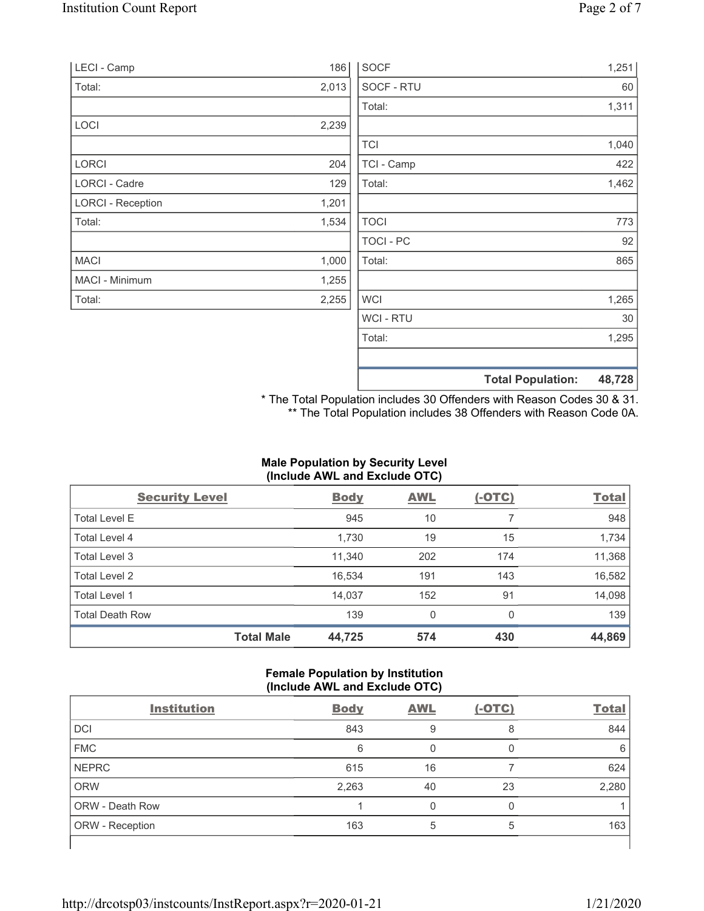| LECI - Camp              | 186   | <b>SOCF</b> |                          | 1,251  |
|--------------------------|-------|-------------|--------------------------|--------|
| Total:                   | 2,013 | SOCF - RTU  |                          | 60     |
|                          |       | Total:      |                          | 1,311  |
| LOCI                     | 2,239 |             |                          |        |
|                          |       | <b>TCI</b>  |                          | 1,040  |
| LORCI                    | 204   | TCI - Camp  |                          | 422    |
| LORCI - Cadre            | 129   | Total:      |                          | 1,462  |
| <b>LORCI - Reception</b> | 1,201 |             |                          |        |
| Total:                   | 1,534 | <b>TOCI</b> |                          | 773    |
|                          |       | TOCI-PC     |                          | 92     |
| <b>MACI</b>              | 1,000 | Total:      |                          | 865    |
| MACI - Minimum           | 1,255 |             |                          |        |
| Total:                   | 2,255 | <b>WCI</b>  |                          | 1,265  |
|                          |       | WCI - RTU   |                          | 30     |
|                          |       | Total:      |                          | 1,295  |
|                          |       |             | <b>Total Population:</b> | 48,728 |

\* The Total Population includes 30 Offenders with Reason Codes 30 & 31. \*\* The Total Population includes 38 Offenders with Reason Code 0A.

# **Male Population by Security Level (Include AWL and Exclude OTC)**

| <b>Security Level</b>  |                   | <b>Body</b> | <b>AWL</b> | $(-OTC)$ | <b>Total</b> |
|------------------------|-------------------|-------------|------------|----------|--------------|
| <b>Total Level E</b>   |                   | 945         | 10         |          | 948          |
| Total Level 4          |                   | 1,730       | 19         | 15       | 1,734        |
| Total Level 3          |                   | 11,340      | 202        | 174      | 11,368       |
| Total Level 2          |                   | 16,534      | 191        | 143      | 16,582       |
| Total Level 1          |                   | 14,037      | 152        | 91       | 14,098       |
| <b>Total Death Row</b> |                   | 139         | 0          | $\Omega$ | 139          |
|                        | <b>Total Male</b> | 44,725      | 574        | 430      | 44,869       |

## **Female Population by Institution (Include AWL and Exclude OTC)**

| <b>Institution</b>     | <b>Body</b> | <b>AWL</b> | $(-OTC)$ | <b>Total</b> |
|------------------------|-------------|------------|----------|--------------|
| <b>DCI</b>             | 843         | 9          | 8        | 844          |
| <b>FMC</b>             | 6           |            |          | 6            |
| <b>NEPRC</b>           | 615         | 16         |          | 624          |
| <b>ORW</b>             | 2,263       | 40         | 23       | 2,280        |
| <b>ORW - Death Row</b> |             |            |          |              |
| ORW - Reception        | 163         | 5          | 5        | 163          |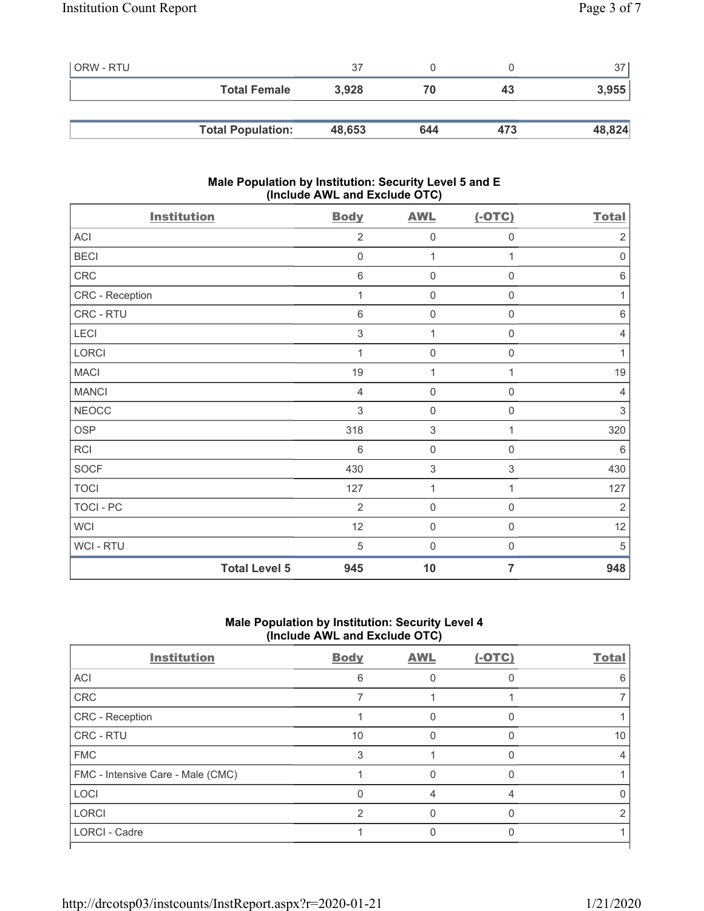| ORW - RTU |                          | 37     |     |     | 37     |
|-----------|--------------------------|--------|-----|-----|--------|
|           | <b>Total Female</b>      | 3,928  | 70  | 43  | 3,955  |
|           |                          |        |     |     |        |
|           | <b>Total Population:</b> | 48,653 | 644 | 473 | 48,824 |

## **Male Population by Institution: Security Level 5 and E (Include AWL and Exclude OTC)**

| <b>Institution</b>   | <b>Body</b>    | <b>AWL</b>          | $(-OTC)$            | <b>Total</b>    |
|----------------------|----------------|---------------------|---------------------|-----------------|
| ACI                  | $\overline{2}$ | $\mathbf 0$         | 0                   | $\sqrt{2}$      |
| <b>BECI</b>          | $\mathbf 0$    | 1                   | 1                   | $\mathbf 0$     |
| CRC                  | $6\,$          | $\mathsf{O}\xspace$ | $\mathsf{O}\xspace$ | $6\,$           |
| CRC - Reception      | 1              | $\mathsf{O}\xspace$ | $\mathsf 0$         | 1               |
| CRC - RTU            | $\,6\,$        | $\mathsf{O}\xspace$ | 0                   | $\,6\,$         |
| LECI                 | $\mathfrak{S}$ | 1                   | 0                   | 4               |
| LORCI                | 1              | $\mathsf{O}\xspace$ | $\mathsf{O}\xspace$ | $\mathbf{1}$    |
| <b>MACI</b>          | 19             | 1                   | 1                   | 19              |
| <b>MANCI</b>         | $\overline{4}$ | $\mathbf 0$         | 0                   | $\overline{4}$  |
| <b>NEOCC</b>         | 3              | $\mathsf{O}\xspace$ | 0                   | 3               |
| <b>OSP</b>           | 318            | $\sqrt{3}$          | 1                   | 320             |
| RCI                  | $6\phantom{1}$ | $\mathbf 0$         | 0                   | $6\phantom{1}6$ |
| <b>SOCF</b>          | 430            | $\sqrt{3}$          | $\,$ 3 $\,$         | 430             |
| <b>TOCI</b>          | 127            | 1                   | 1                   | 127             |
| TOCI - PC            | $\overline{2}$ | $\mathsf{O}\xspace$ | $\mathsf{O}\xspace$ | $\overline{2}$  |
| <b>WCI</b>           | 12             | $\mathsf{O}\xspace$ | $\mathbf 0$         | 12              |
| WCI - RTU            | 5              | $\mathbf 0$         | $\boldsymbol{0}$    | 5               |
| <b>Total Level 5</b> | 945            | 10                  | $\overline{7}$      | 948             |

# **Male Population by Institution: Security Level 4 (Include AWL and Exclude OTC)**

| <b>Body</b> | <b>AWL</b> | $(-OTC)$ | <b>Total</b> |
|-------------|------------|----------|--------------|
| 6           |            |          | 6            |
|             |            |          |              |
|             |            | O        |              |
| 10          |            |          | 10           |
| 3           |            |          |              |
|             |            |          |              |
|             |            |          |              |
| っ           |            |          |              |
|             |            |          |              |
|             |            |          |              |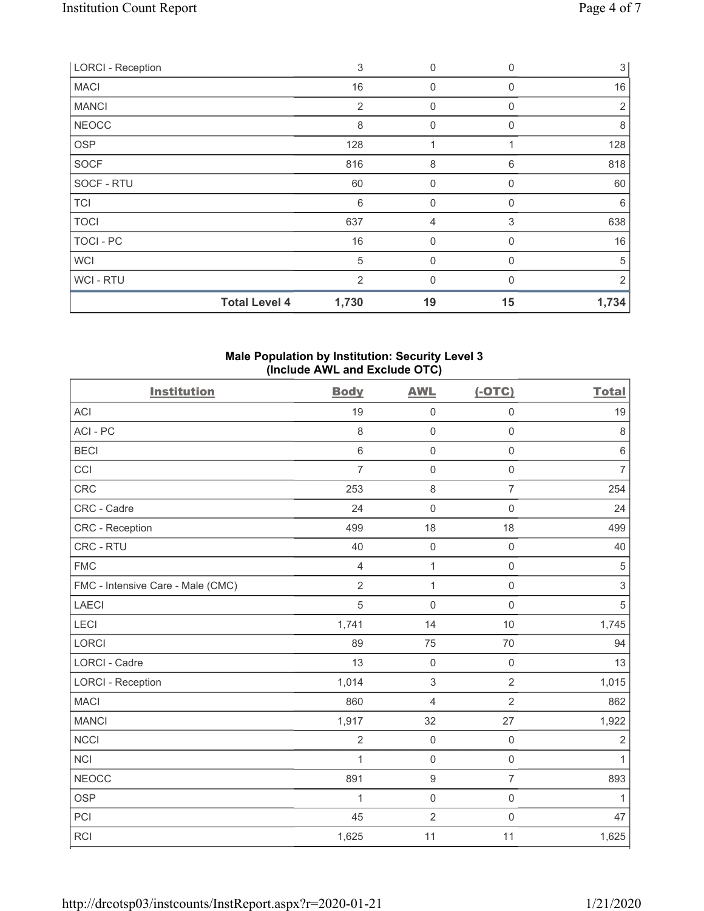| <b>LORCI - Reception</b> |                      | 3     | $\boldsymbol{0}$ | $\Omega$ | 3     |
|--------------------------|----------------------|-------|------------------|----------|-------|
| <b>MACI</b>              |                      | 16    | $\mathbf 0$      | 0        | 16    |
| <b>MANCI</b>             |                      | 2     | $\mathbf 0$      | 0        | 2     |
| <b>NEOCC</b>             |                      | 8     | $\mathbf{0}$     | $\Omega$ | 8     |
| <b>OSP</b>               |                      | 128   | 1                |          | 128   |
| <b>SOCF</b>              |                      | 816   | 8                | 6        | 818   |
| SOCF - RTU               |                      | 60    | $\mathbf{0}$     | 0        | 60    |
| <b>TCI</b>               |                      | 6     | $\mathbf 0$      | $\Omega$ | 6     |
| <b>TOCI</b>              |                      | 637   | 4                | 3        | 638   |
| TOCI - PC                |                      | 16    | $\mathbf{0}$     | 0        | 16    |
| <b>WCI</b>               |                      | 5     | $\mathbf{0}$     | $\Omega$ | 5     |
| WCI - RTU                |                      | 2     | $\mathbf{0}$     | $\Omega$ | 2     |
|                          | <b>Total Level 4</b> | 1,730 | 19               | 15       | 1,734 |

#### **Male Population by Institution: Security Level 3 (Include AWL and Exclude OTC)**

| <b>Institution</b>                | <b>Body</b>    | <b>AWL</b>          | $(-OTC)$            | <b>Total</b>   |
|-----------------------------------|----------------|---------------------|---------------------|----------------|
| <b>ACI</b>                        | 19             | $\mathsf{O}\xspace$ | $\mathbf 0$         | 19             |
| ACI-PC                            | 8              | $\mathsf 0$         | $\mathsf{O}\xspace$ | $\,8\,$        |
| <b>BECI</b>                       | 6              | $\mathbf 0$         | $\mathbf 0$         | $\,6\,$        |
| CCI                               | $\overline{7}$ | $\mathsf 0$         | $\mathsf{O}\xspace$ | $\overline{7}$ |
| CRC                               | 253            | $\,8\,$             | $\overline{7}$      | 254            |
| CRC - Cadre                       | 24             | $\mathbf 0$         | $\mathbf 0$         | 24             |
| CRC - Reception                   | 499            | 18                  | 18                  | 499            |
| CRC - RTU                         | 40             | $\mathbf 0$         | $\mathsf{O}\xspace$ | 40             |
| <b>FMC</b>                        | $\overline{4}$ | $\mathbf{1}$        | $\mathsf{O}\xspace$ | $\sqrt{5}$     |
| FMC - Intensive Care - Male (CMC) | $\overline{2}$ | $\mathbf{1}$        | $\mathbf 0$         | $\mathfrak{S}$ |
| <b>LAECI</b>                      | 5              | $\mathbf 0$         | $\mathbf 0$         | $\sqrt{5}$     |
| LECI                              | 1,741          | 14                  | 10                  | 1,745          |
| <b>LORCI</b>                      | 89             | 75                  | 70                  | 94             |
| <b>LORCI - Cadre</b>              | 13             | $\mathsf{O}\xspace$ | $\mathsf{O}\xspace$ | 13             |
| <b>LORCI - Reception</b>          | 1,014          | $\mathfrak{S}$      | $\overline{2}$      | 1,015          |
| <b>MACI</b>                       | 860            | $\overline{4}$      | $\overline{2}$      | 862            |
| <b>MANCI</b>                      | 1,917          | 32                  | 27                  | 1,922          |
| <b>NCCI</b>                       | $\overline{2}$ | $\mathsf 0$         | $\mathsf{O}\xspace$ | $\overline{2}$ |
| <b>NCI</b>                        | 1              | $\mathbf 0$         | $\mathsf{O}\xspace$ | $\mathbf{1}$   |
| <b>NEOCC</b>                      | 891            | $\boldsymbol{9}$    | $\overline{7}$      | 893            |
| <b>OSP</b>                        | 1              | $\mathbf 0$         | $\mathsf 0$         | 1              |
| PCI                               | 45             | $\overline{2}$      | $\mathsf{O}\xspace$ | 47             |
| <b>RCI</b>                        | 1,625          | 11                  | 11                  | 1,625          |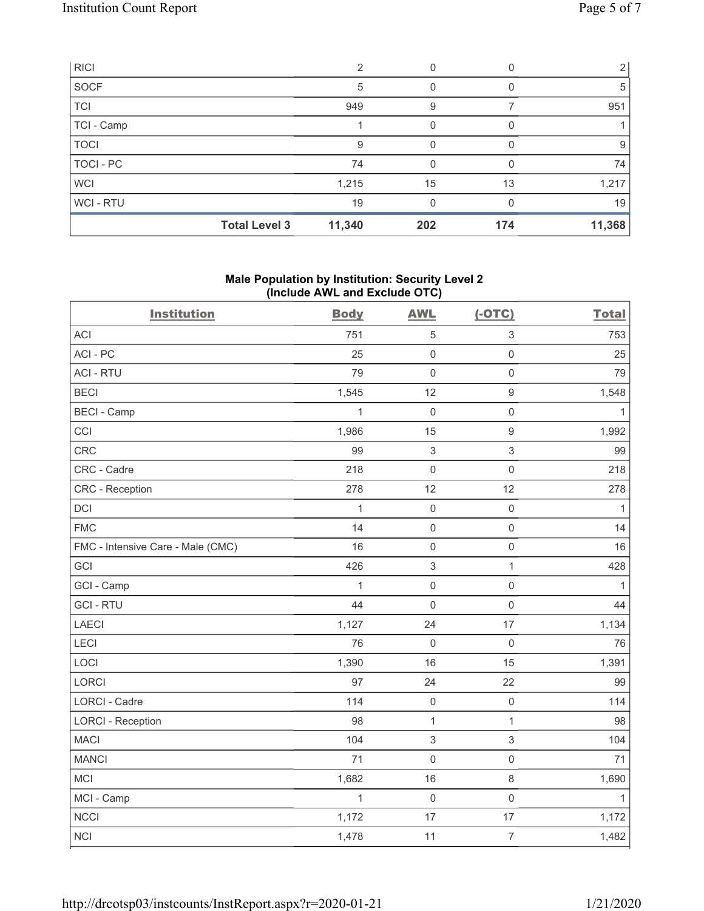| <b>RICI</b> |                      | ⌒      |     |     |        |
|-------------|----------------------|--------|-----|-----|--------|
| SOCF        |                      | 5      |     |     | 5      |
| <b>TCI</b>  |                      | 949    | 9   |     | 951    |
| TCI - Camp  |                      |        | 0   |     |        |
| <b>TOCI</b> |                      | 9      | 0   |     | 9      |
| TOCI - PC   |                      | 74     | 0   |     | 74     |
| <b>WCI</b>  |                      | 1,215  | 15  | 13  | 1,217  |
| WCI-RTU     |                      | 19     |     |     | 19     |
|             | <b>Total Level 3</b> | 11,340 | 202 | 174 | 11,368 |

## **Male Population by Institution: Security Level 2 (Include AWL and Exclude OTC)**

| <b>Institution</b>                | <b>Body</b>  | <b>AWL</b>   | $(-OTC)$            | <b>Total</b> |
|-----------------------------------|--------------|--------------|---------------------|--------------|
| <b>ACI</b>                        | 751          | $\sqrt{5}$   | 3                   | 753          |
| ACI-PC                            | 25           | $\mathbf 0$  | $\mathbf 0$         | 25           |
| <b>ACI - RTU</b>                  | 79           | $\mathbf 0$  | $\mathbf 0$         | 79           |
| <b>BECI</b>                       | 1,545        | 12           | $\boldsymbol{9}$    | 1,548        |
| <b>BECI - Camp</b>                | 1            | $\mathbf 0$  | $\mathbf 0$         | 1            |
| CCI                               | 1,986        | 15           | $\boldsymbol{9}$    | 1,992        |
| <b>CRC</b>                        | 99           | $\sqrt{3}$   | 3                   | 99           |
| CRC - Cadre                       | 218          | $\mathbf 0$  | $\mathbf 0$         | 218          |
| <b>CRC</b> - Reception            | 278          | 12           | 12                  | 278          |
| <b>DCI</b>                        | $\mathbf{1}$ | $\mathbf 0$  | $\mathsf{O}\xspace$ | $\mathbf{1}$ |
| <b>FMC</b>                        | 14           | $\mathbf 0$  | $\mathbf 0$         | 14           |
| FMC - Intensive Care - Male (CMC) | 16           | $\mathbf 0$  | $\mathsf{O}\xspace$ | 16           |
| GCI                               | 426          | $\sqrt{3}$   | $\mathbf{1}$        | 428          |
| GCI - Camp                        | 1            | $\mathbf 0$  | $\mathbf 0$         | 1            |
| <b>GCI-RTU</b>                    | 44           | $\mathbf 0$  | $\mathbf 0$         | 44           |
| <b>LAECI</b>                      | 1,127        | 24           | 17                  | 1,134        |
| LECI                              | 76           | $\mathbf 0$  | $\mathbf 0$         | 76           |
| LOCI                              | 1,390        | 16           | 15                  | 1,391        |
| LORCI                             | 97           | 24           | 22                  | 99           |
| <b>LORCI - Cadre</b>              | 114          | $\mathbf 0$  | $\mathbf 0$         | 114          |
| <b>LORCI - Reception</b>          | 98           | $\mathbf{1}$ | $\mathbf{1}$        | 98           |
| <b>MACI</b>                       | 104          | $\sqrt{3}$   | 3                   | 104          |
| <b>MANCI</b>                      | 71           | $\mathbf 0$  | $\mathbf 0$         | 71           |
| MCI                               | 1,682        | 16           | 8                   | 1,690        |
| MCI - Camp                        | 1            | $\mathbf 0$  | $\mathsf{O}\xspace$ | $\mathbf{1}$ |
| <b>NCCI</b>                       | 1,172        | 17           | 17                  | 1,172        |
| <b>NCI</b>                        | 1,478        | 11           | $\overline{7}$      | 1,482        |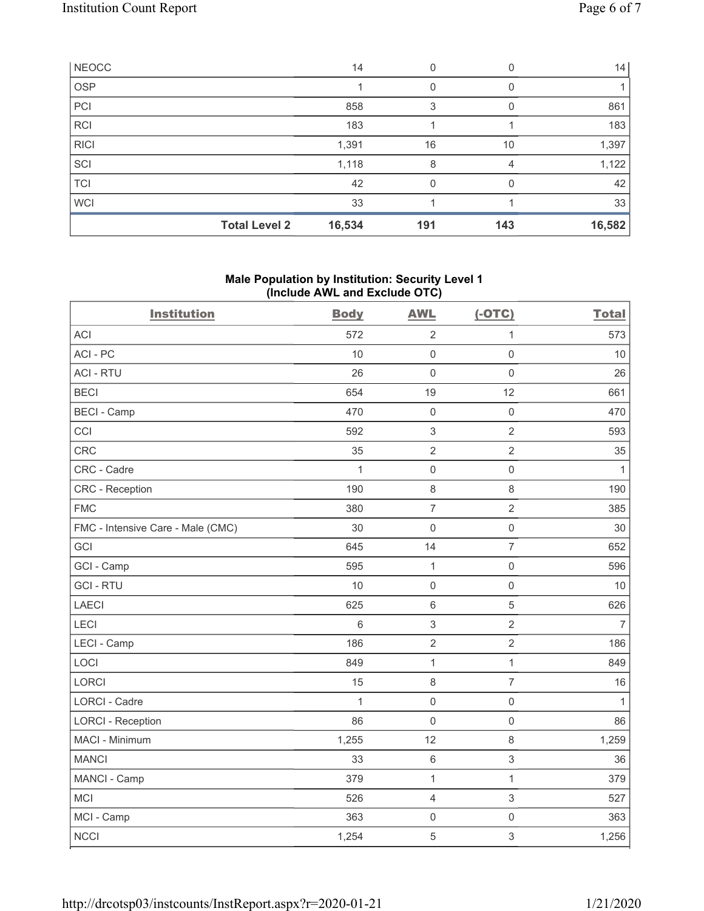|             | <b>Total Level 2</b> | 16,534 | 191 | 143 | 16,582 |
|-------------|----------------------|--------|-----|-----|--------|
| <b>WCI</b>  |                      | 33     |     |     | 33     |
| <b>TCI</b>  |                      | 42     | O   |     | 42     |
| SCI         |                      | 1,118  | 8   | 4   | 1,122  |
| <b>RICI</b> |                      | 1,391  | 16  | 10  | 1,397  |
| <b>RCI</b>  |                      | 183    |     |     | 183    |
| PCI         |                      | 858    | 3   |     | 861    |
| <b>OSP</b>  |                      |        |     |     |        |
| NEOCC       |                      | 14     | 0   |     | 14     |

## **Male Population by Institution: Security Level 1 (Include AWL and Exclude OTC)**

| <b>Institution</b>                | <b>Body</b>  | <b>AWL</b>          | $(-OTC)$            | <b>Total</b>   |
|-----------------------------------|--------------|---------------------|---------------------|----------------|
| <b>ACI</b>                        | 572          | $\overline{2}$      | $\mathbf{1}$        | 573            |
| ACI-PC                            | 10           | $\mathsf{O}\xspace$ | $\mathsf{O}\xspace$ | 10             |
| <b>ACI - RTU</b>                  | 26           | $\mathbf 0$         | $\mathsf{O}\xspace$ | 26             |
| <b>BECI</b>                       | 654          | 19                  | 12                  | 661            |
| <b>BECI - Camp</b>                | 470          | $\mathsf{O}\xspace$ | $\mathsf{O}\xspace$ | 470            |
| CCI                               | 592          | $\sqrt{3}$          | $\overline{2}$      | 593            |
| CRC                               | 35           | $\sqrt{2}$          | $\overline{2}$      | 35             |
| CRC - Cadre                       | $\mathbf{1}$ | $\mathsf 0$         | $\mathsf{O}\xspace$ | $\mathbf{1}$   |
| CRC - Reception                   | 190          | $\,8\,$             | 8                   | 190            |
| <b>FMC</b>                        | 380          | $\overline{7}$      | $\overline{2}$      | 385            |
| FMC - Intensive Care - Male (CMC) | 30           | $\mathsf{O}\xspace$ | $\mathsf{O}\xspace$ | 30             |
| GCI                               | 645          | 14                  | $\overline{7}$      | 652            |
| GCI - Camp                        | 595          | $\mathbf{1}$        | $\mathsf 0$         | 596            |
| <b>GCI-RTU</b>                    | 10           | $\mathsf 0$         | $\mathbf 0$         | 10             |
| LAECI                             | 625          | $\,6\,$             | 5                   | 626            |
| LECI                              | 6            | $\sqrt{3}$          | $\overline{2}$      | $\overline{7}$ |
| LECI - Camp                       | 186          | $\sqrt{2}$          | $\overline{2}$      | 186            |
| LOCI                              | 849          | $\mathbf{1}$        | $\mathbf{1}$        | 849            |
| LORCI                             | 15           | $\,8\,$             | $\overline{7}$      | 16             |
| <b>LORCI - Cadre</b>              | $\mathbf{1}$ | $\mathbf 0$         | $\mathsf{O}\xspace$ | $\mathbf{1}$   |
| <b>LORCI - Reception</b>          | 86           | $\mathsf 0$         | $\mathsf{O}\xspace$ | 86             |
| MACI - Minimum                    | 1,255        | 12                  | 8                   | 1,259          |
| <b>MANCI</b>                      | 33           | $\,6\,$             | $\mathfrak{S}$      | 36             |
| MANCI - Camp                      | 379          | $\mathbf 1$         | $\mathbf{1}$        | 379            |
| <b>MCI</b>                        | 526          | $\overline{4}$      | $\mathfrak{S}$      | 527            |
| MCI - Camp                        | 363          | $\mathsf{O}\xspace$ | $\mathsf{O}\xspace$ | 363            |
| <b>NCCI</b>                       | 1,254        | $\mathbf 5$         | $\,$ 3 $\,$         | 1,256          |